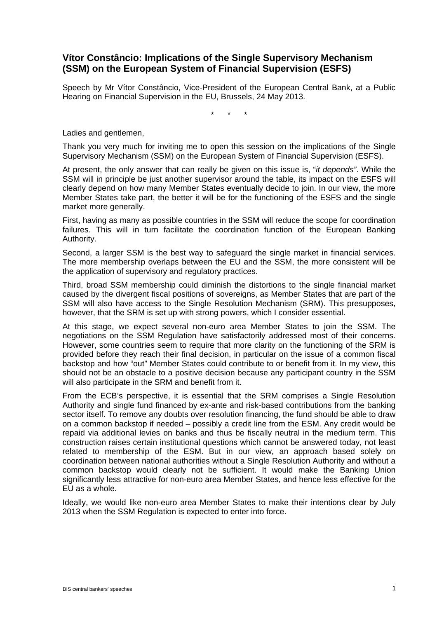# **Vítor Constâncio: Implications of the Single Supervisory Mechanism (SSM) on the European System of Financial Supervision (ESFS)**

Speech by Mr Vítor Constâncio, Vice-President of the European Central Bank, at a Public Hearing on Financial Supervision in the EU, Brussels, 24 May 2013.

\* \* \*

Ladies and gentlemen,

Thank you very much for inviting me to open this session on the implications of the Single Supervisory Mechanism (SSM) on the European System of Financial Supervision (ESFS).

At present, the only answer that can really be given on this issue is, "*it depends"*. While the SSM will in principle be just another supervisor around the table, its impact on the ESFS will clearly depend on how many Member States eventually decide to join. In our view, the more Member States take part, the better it will be for the functioning of the ESFS and the single market more generally.

First, having as many as possible countries in the SSM will reduce the scope for coordination failures. This will in turn facilitate the coordination function of the European Banking Authority.

Second, a larger SSM is the best way to safeguard the single market in financial services. The more membership overlaps between the EU and the SSM, the more consistent will be the application of supervisory and regulatory practices.

Third, broad SSM membership could diminish the distortions to the single financial market caused by the divergent fiscal positions of sovereigns, as Member States that are part of the SSM will also have access to the Single Resolution Mechanism (SRM). This presupposes, however, that the SRM is set up with strong powers, which I consider essential.

At this stage, we expect several non-euro area Member States to join the SSM. The negotiations on the SSM Regulation have satisfactorily addressed most of their concerns. However, some countries seem to require that more clarity on the functioning of the SRM is provided before they reach their final decision, in particular on the issue of a common fiscal backstop and how "out" Member States could contribute to or benefit from it. In my view, this should not be an obstacle to a positive decision because any participant country in the SSM will also participate in the SRM and benefit from it.

From the ECB's perspective, it is essential that the SRM comprises a Single Resolution Authority and single fund financed by ex-ante and risk-based contributions from the banking sector itself. To remove any doubts over resolution financing, the fund should be able to draw on a common backstop if needed – possibly a credit line from the ESM. Any credit would be repaid via additional levies on banks and thus be fiscally neutral in the medium term. This construction raises certain institutional questions which cannot be answered today, not least related to membership of the ESM. But in our view, an approach based solely on coordination between national authorities without a Single Resolution Authority and without a common backstop would clearly not be sufficient. It would make the Banking Union significantly less attractive for non-euro area Member States, and hence less effective for the EU as a whole.

Ideally, we would like non-euro area Member States to make their intentions clear by July 2013 when the SSM Regulation is expected to enter into force.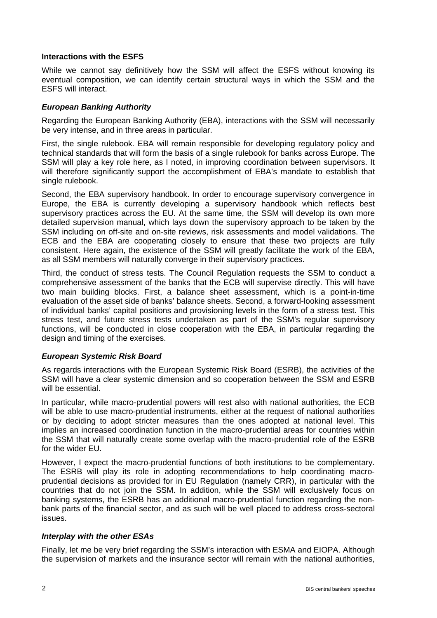#### **Interactions with the ESFS**

While we cannot say definitively how the SSM will affect the ESFS without knowing its eventual composition, we can identify certain structural ways in which the SSM and the ESFS will interact.

### *European Banking Authority*

Regarding the European Banking Authority (EBA), interactions with the SSM will necessarily be very intense, and in three areas in particular.

First, the single rulebook. EBA will remain responsible for developing regulatory policy and technical standards that will form the basis of a single rulebook for banks across Europe. The SSM will play a key role here, as I noted, in improving coordination between supervisors. It will therefore significantly support the accomplishment of EBA's mandate to establish that single rulebook.

Second, the EBA supervisory handbook. In order to encourage supervisory convergence in Europe, the EBA is currently developing a supervisory handbook which reflects best supervisory practices across the EU. At the same time, the SSM will develop its own more detailed supervision manual, which lays down the supervisory approach to be taken by the SSM including on off-site and on-site reviews, risk assessments and model validations. The ECB and the EBA are cooperating closely to ensure that these two projects are fully consistent. Here again, the existence of the SSM will greatly facilitate the work of the EBA, as all SSM members will naturally converge in their supervisory practices.

Third, the conduct of stress tests. The Council Regulation requests the SSM to conduct a comprehensive assessment of the banks that the ECB will supervise directly. This will have two main building blocks. First, a balance sheet assessment, which is a point-in-time evaluation of the asset side of banks' balance sheets. Second, a forward-looking assessment of individual banks' capital positions and provisioning levels in the form of a stress test. This stress test, and future stress tests undertaken as part of the SSM's regular supervisory functions, will be conducted in close cooperation with the EBA, in particular regarding the design and timing of the exercises.

# *European Systemic Risk Board*

As regards interactions with the European Systemic Risk Board (ESRB), the activities of the SSM will have a clear systemic dimension and so cooperation between the SSM and ESRB will be essential.

In particular, while macro-prudential powers will rest also with national authorities, the ECB will be able to use macro-prudential instruments, either at the request of national authorities or by deciding to adopt stricter measures than the ones adopted at national level. This implies an increased coordination function in the macro-prudential areas for countries within the SSM that will naturally create some overlap with the macro-prudential role of the ESRB for the wider EU.

However, I expect the macro-prudential functions of both institutions to be complementary. The ESRB will play its role in adopting recommendations to help coordinating macroprudential decisions as provided for in EU Regulation (namely CRR), in particular with the countries that do not join the SSM. In addition, while the SSM will exclusively focus on banking systems, the ESRB has an additional macro-prudential function regarding the nonbank parts of the financial sector, and as such will be well placed to address cross-sectoral issues.

# *Interplay with the other ESAs*

Finally, let me be very brief regarding the SSM's interaction with ESMA and EIOPA. Although the supervision of markets and the insurance sector will remain with the national authorities,